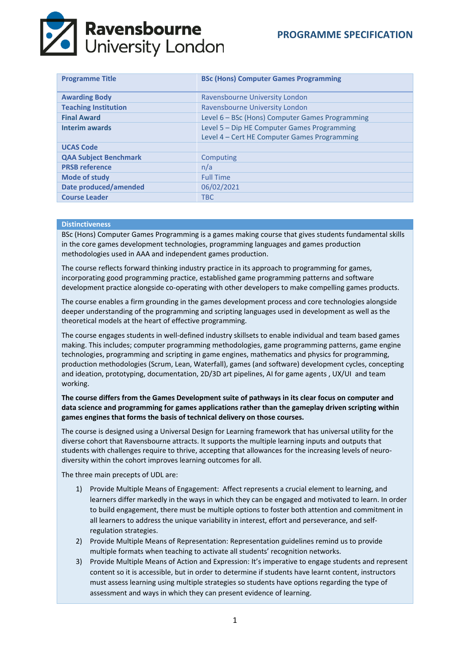# **Ravensbourne**<br>University London

| <b>Programme Title</b>       | <b>BSc (Hons) Computer Games Programming</b>    |  |  |
|------------------------------|-------------------------------------------------|--|--|
| <b>Awarding Body</b>         | Ravensbourne University London                  |  |  |
| <b>Teaching Institution</b>  | Ravensbourne University London                  |  |  |
| <b>Final Award</b>           | Level 6 – BSc (Hons) Computer Games Programming |  |  |
| <b>Interim awards</b>        | Level 5 – Dip HE Computer Games Programming     |  |  |
|                              | Level 4 - Cert HE Computer Games Programming    |  |  |
| <b>UCAS Code</b>             |                                                 |  |  |
| <b>QAA Subject Benchmark</b> | Computing                                       |  |  |
| <b>PRSB reference</b>        | n/a                                             |  |  |
| <b>Mode of study</b>         | <b>Full Time</b>                                |  |  |
| <b>Date produced/amended</b> | 06/02/2021                                      |  |  |
| <b>Course Leader</b>         | <b>TBC</b>                                      |  |  |

## **Distinctiveness**

BSc (Hons) Computer Games Programming is a games making course that gives students fundamental skills in the core games development technologies, programming languages and games production methodologies used in AAA and independent games production.

The course reflects forward thinking industry practice in its approach to programming for games, incorporating good programming practice, established game programming patterns and software development practice alongside co-operating with other developers to make compelling games products.

The course enables a firm grounding in the games development process and core technologies alongside deeper understanding of the programming and scripting languages used in development as well as the theoretical models at the heart of effective programming.

The course engages students in well-defined industry skillsets to enable individual and team based games making. This includes; computer programming methodologies, game programming patterns, game engine technologies, programming and scripting in game engines, mathematics and physics for programming, production methodologies (Scrum, Lean, Waterfall), games (and software) development cycles, concepting and ideation, prototyping, documentation, 2D/3D art pipelines, AI for game agents , UX/UI and team working.

# **The course differs from the Games Development suite of pathways in its clear focus on computer and data science and programming for games applications rather than the gameplay driven scripting within games engines that forms the basis of technical delivery on those courses.**

The course is designed using a Universal Design for Learning framework that has universal utility for the diverse cohort that Ravensbourne attracts. It supports the multiple learning inputs and outputs that students with challenges require to thrive, accepting that allowances for the increasing levels of neurodiversity within the cohort improves learning outcomes for all.

The three main precepts of UDL are:

- 1) Provide Multiple Means of Engagement: Affect represents a crucial element to learning, and learners differ markedly in the ways in which they can be engaged and motivated to learn. In order to build engagement, there must be multiple options to foster both attention and commitment in all learners to address the unique variability in interest, effort and perseverance, and selfregulation strategies.
- 2) Provide Multiple Means of Representation: Representation guidelines remind us to provide multiple formats when teaching to activate all students' recognition networks.
- 3) Provide Multiple Means of Action and Expression: It's imperative to engage students and represent content so it is accessible, but in order to determine if students have learnt content, instructors must assess learning using multiple strategies so students have options regarding the type of assessment and ways in which they can present evidence of learning.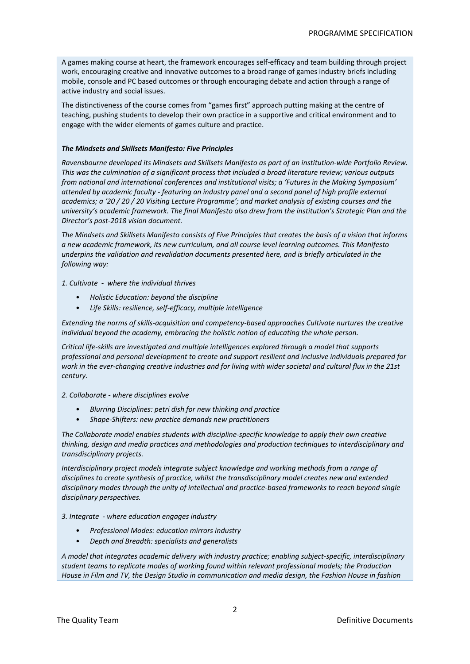A games making course at heart, the framework encourages self-efficacy and team building through project work, encouraging creative and innovative outcomes to a broad range of games industry briefs including mobile, console and PC based outcomes or through encouraging debate and action through a range of active industry and social issues.

The distinctiveness of the course comes from "games first" approach putting making at the centre of teaching, pushing students to develop their own practice in a supportive and critical environment and to engage with the wider elements of games culture and practice.

# *The Mindsets and Skillsets Manifesto: Five Principles*

*Ravensbourne developed its Mindsets and Skillsets Manifesto as part of an institution-wide Portfolio Review. This was the culmination of a significant process that included a broad literature review; various outputs from national and international conferences and institutional visits; a 'Futures in the Making Symposium' attended by academic faculty - featuring an industry panel and a second panel of high profile external academics; a '20 / 20 / 20 Visiting Lecture Programme'; and market analysis of existing courses and the university's academic framework. The final Manifesto also drew from the institution's Strategic Plan and the Director's post-2018 vision document.*

*The Mindsets and Skillsets Manifesto consists of Five Principles that creates the basis of a vision that informs a new academic framework, its new curriculum, and all course level learning outcomes. This Manifesto underpins the validation and revalidation documents presented here, and is briefly articulated in the following way:* 

*1. Cultivate - where the individual thrives*

- *Holistic Education: beyond the discipline*
- *Life Skills: resilience, self-efficacy, multiple intelligence*

*Extending the norms of skills-acquisition and competency-based approaches Cultivate nurtures the creative individual beyond the academy, embracing the holistic notion of educating the whole person.*

*Critical life-skills are investigated and multiple intelligences explored through a model that supports professional and personal development to create and support resilient and inclusive individuals prepared for work in the ever-changing creative industries and for living with wider societal and cultural flux in the 21st century.*

*2. Collaborate - where disciplines evolve*

- *Blurring Disciplines: petri dish for new thinking and practice*
- *Shape-Shifters: new practice demands new practitioners*

*The Collaborate model enables students with discipline-specific knowledge to apply their own creative thinking, design and media practices and methodologies and production techniques to interdisciplinary and transdisciplinary projects.*

*Interdisciplinary project models integrate subject knowledge and working methods from a range of disciplines to create synthesis of practice, whilst the transdisciplinary model creates new and extended disciplinary modes through the unity of intellectual and practice-based frameworks to reach beyond single disciplinary perspectives.*

*3. Integrate - where education engages industry*

- *Professional Modes: education mirrors industry*
- *Depth and Breadth: specialists and generalists*

*A model that integrates academic delivery with industry practice; enabling subject-specific, interdisciplinary student teams to replicate modes of working found within relevant professional models; the Production House in Film and TV, the Design Studio in communication and media design, the Fashion House in fashion*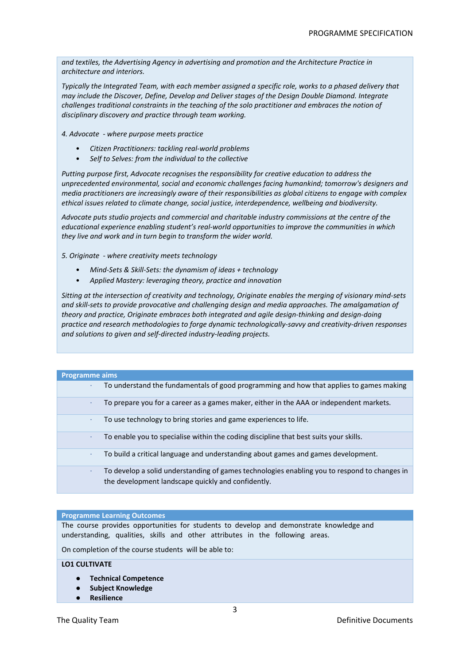*and textiles, the Advertising Agency in advertising and promotion and the Architecture Practice in architecture and interiors.*

*Typically the Integrated Team, with each member assigned a specific role, works to a phased delivery that may include the Discover, Define, Develop and Deliver stages of the Design Double Diamond. Integrate challenges traditional constraints in the teaching of the solo practitioner and embraces the notion of disciplinary discovery and practice through team working.*

*4. Advocate - where purpose meets practice*

- *Citizen Practitioners: tackling real-world problems*
- *Self to Selves: from the individual to the collective*

*Putting purpose first, Advocate recognises the responsibility for creative education to address the unprecedented environmental, social and economic challenges facing humankind; tomorrow's designers and media practitioners are increasingly aware of their responsibilities as global citizens to engage with complex ethical issues related to climate change, social justice, interdependence, wellbeing and biodiversity.* 

*Advocate puts studio projects and commercial and charitable industry commissions at the centre of the educational experience enabling student's real-world opportunities to improve the communities in which they live and work and in turn begin to transform the wider world.*

*5. Originate - where creativity meets technology*

- *Mind-Sets & Skill-Sets: the dynamism of ideas + technology*
- *Applied Mastery: leveraging theory, practice and innovation*

*Sitting at the intersection of creativity and technology, Originate enables the merging of visionary mind-sets and skill-sets to provide provocative and challenging design and media approaches. The amalgamation of theory and practice, Originate embraces both integrated and agile design-thinking and design-doing practice and research methodologies to forge dynamic technologically-savvy and creativity-driven responses and solutions to given and self-directed industry-leading projects.*

| <b>Programme aims</b> |                                                                                                                                                    |
|-----------------------|----------------------------------------------------------------------------------------------------------------------------------------------------|
| ٠                     | To understand the fundamentals of good programming and how that applies to games making                                                            |
|                       | To prepare you for a career as a games maker, either in the AAA or independent markets.                                                            |
| ۰                     | To use technology to bring stories and game experiences to life.                                                                                   |
| ٠                     | To enable you to specialise within the coding discipline that best suits your skills.                                                              |
| ٠                     | To build a critical language and understanding about games and games development.                                                                  |
| ٠                     | To develop a solid understanding of games technologies enabling you to respond to changes in<br>the development landscape quickly and confidently. |

#### **Programme Learning Outcomes**

The course provides opportunities for students to develop and demonstrate knowledge and understanding, qualities, skills and other attributes in the following areas.

On completion of the course students will be able to:

# **LO1 CULTIVATE**

- **Technical Competence**
- **Subject Knowledge**
- **Resilience**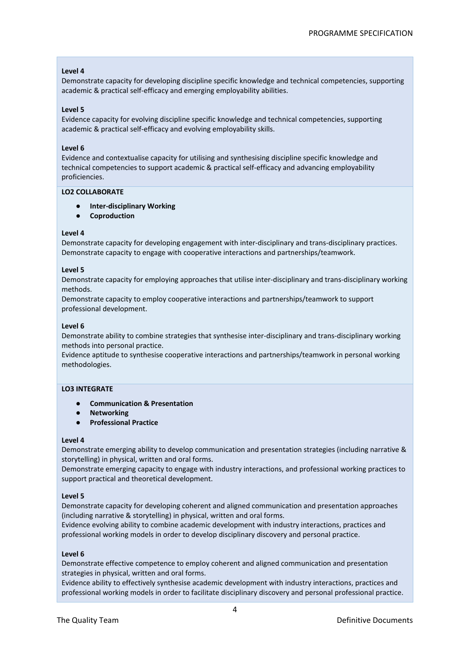## **Level 4**

Demonstrate capacity for developing discipline specific knowledge and technical competencies, supporting academic & practical self-efficacy and emerging employability abilities.

#### **Level 5**

Evidence capacity for evolving discipline specific knowledge and technical competencies, supporting academic & practical self-efficacy and evolving employability skills.

## **Level 6**

Evidence and contextualise capacity for utilising and synthesising discipline specific knowledge and technical competencies to support academic & practical self-efficacy and advancing employability proficiencies.

#### **LO2 COLLABORATE**

- **Inter-disciplinary Working**
- **Coproduction**

## **Level 4**

Demonstrate capacity for developing engagement with inter-disciplinary and trans-disciplinary practices. Demonstrate capacity to engage with cooperative interactions and partnerships/teamwork.

## **Level 5**

Demonstrate capacity for employing approaches that utilise inter-disciplinary and trans-disciplinary working methods.

Demonstrate capacity to employ cooperative interactions and partnerships/teamwork to support professional development.

## **Level 6**

Demonstrate ability to combine strategies that synthesise inter-disciplinary and trans-disciplinary working methods into personal practice.

Evidence aptitude to synthesise cooperative interactions and partnerships/teamwork in personal working methodologies.

# **LO3 INTEGRATE**

- **Communication & Presentation**
- **Networking**
- **Professional Practice**

#### **Level 4**

Demonstrate emerging ability to develop communication and presentation strategies (including narrative & storytelling) in physical, written and oral forms.

Demonstrate emerging capacity to engage with industry interactions, and professional working practices to support practical and theoretical development.

#### **Level 5**

Demonstrate capacity for developing coherent and aligned communication and presentation approaches (including narrative & storytelling) in physical, written and oral forms.

Evidence evolving ability to combine academic development with industry interactions, practices and professional working models in order to develop disciplinary discovery and personal practice.

#### **Level 6**

Demonstrate effective competence to employ coherent and aligned communication and presentation strategies in physical, written and oral forms.

Evidence ability to effectively synthesise academic development with industry interactions, practices and professional working models in order to facilitate disciplinary discovery and personal professional practice.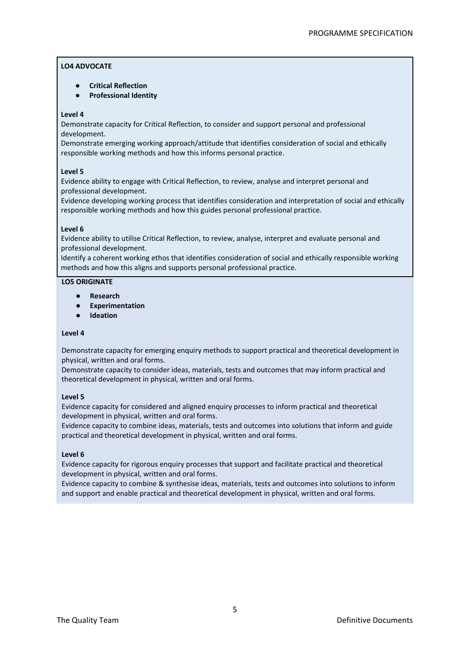# **LO4 ADVOCATE**

- **Critical Reflection**
- **Professional Identity**

# **Level 4**

Demonstrate capacity for Critical Reflection, to consider and support personal and professional development.

Demonstrate emerging working approach/attitude that identifies consideration of social and ethically responsible working methods and how this informs personal practice.

# **Level 5**

Evidence ability to engage with Critical Reflection, to review, analyse and interpret personal and professional development.

Evidence developing working process that identifies consideration and interpretation of social and ethically responsible working methods and how this guides personal professional practice.

# **Level 6**

Evidence ability to utilise Critical Reflection, to review, analyse, interpret and evaluate personal and professional development.

Identify a coherent working ethos that identifies consideration of social and ethically responsible working methods and how this aligns and supports personal professional practice.

# **LO5 ORIGINATE**

- **Research**
- **Experimentation**
- **Ideation**

# **Level 4**

Demonstrate capacity for emerging enquiry methods to support practical and theoretical development in physical, written and oral forms.

Demonstrate capacity to consider ideas, materials, tests and outcomes that may inform practical and theoretical development in physical, written and oral forms.

# **Level 5**

Evidence capacity for considered and aligned enquiry processes to inform practical and theoretical development in physical, written and oral forms.

Evidence capacity to combine ideas, materials, tests and outcomes into solutions that inform and guide practical and theoretical development in physical, written and oral forms.

# **Level 6**

Evidence capacity for rigorous enquiry processes that support and facilitate practical and theoretical development in physical, written and oral forms.

Evidence capacity to combine & synthesise ideas, materials, tests and outcomes into solutions to inform and support and enable practical and theoretical development in physical, written and oral forms.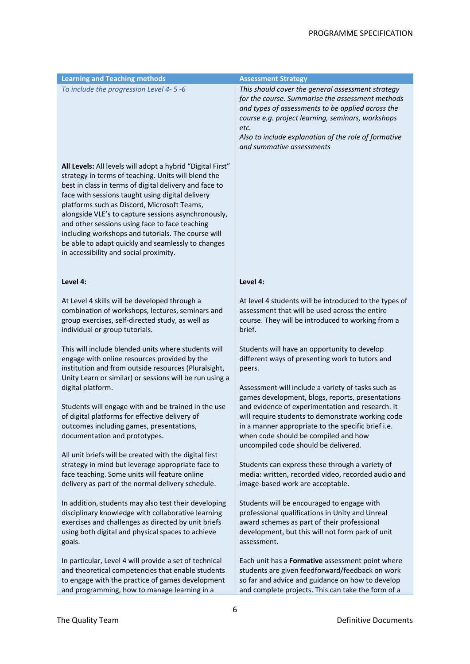| <b>Learning and Teaching methods</b>                                                                                                                                                                                                                                                                                                                                                                                                                                                                                                          | <b>Assessment Strategy</b>                                                                                                                                                                                                                                                                                   |
|-----------------------------------------------------------------------------------------------------------------------------------------------------------------------------------------------------------------------------------------------------------------------------------------------------------------------------------------------------------------------------------------------------------------------------------------------------------------------------------------------------------------------------------------------|--------------------------------------------------------------------------------------------------------------------------------------------------------------------------------------------------------------------------------------------------------------------------------------------------------------|
| To include the progression Level 4-5-6                                                                                                                                                                                                                                                                                                                                                                                                                                                                                                        | This should cover the general assessment strategy<br>for the course. Summarise the assessment methods<br>and types of assessments to be applied across the<br>course e.g. project learning, seminars, workshops<br>etc.<br>Also to include explanation of the role of formative<br>and summative assessments |
| All Levels: All levels will adopt a hybrid "Digital First"<br>strategy in terms of teaching. Units will blend the<br>best in class in terms of digital delivery and face to<br>face with sessions taught using digital delivery<br>platforms such as Discord, Microsoft Teams,<br>alongside VLE's to capture sessions asynchronously,<br>and other sessions using face to face teaching<br>including workshops and tutorials. The course will<br>be able to adapt quickly and seamlessly to changes<br>in accessibility and social proximity. |                                                                                                                                                                                                                                                                                                              |
| Level 4:                                                                                                                                                                                                                                                                                                                                                                                                                                                                                                                                      | Level 4:                                                                                                                                                                                                                                                                                                     |
| At Level 4 skills will be developed through a<br>combination of workshops, lectures, seminars and<br>group exercises, self-directed study, as well as<br>individual or group tutorials.                                                                                                                                                                                                                                                                                                                                                       | At level 4 students will be introduced to the types of<br>assessment that will be used across the entire<br>course. They will be introduced to working from a<br>brief.                                                                                                                                      |
| This will include blended units where students will<br>engage with online resources provided by the<br>institution and from outside resources (Pluralsight,<br>Unity Learn or similar) or sessions will be run using a<br>digital platform.                                                                                                                                                                                                                                                                                                   | Students will have an opportunity to develop<br>different ways of presenting work to tutors and<br>peers.<br>Assessment will include a variety of tasks such as                                                                                                                                              |
| Students will engage with and be trained in the use<br>of digital platforms for effective delivery of<br>outcomes including games, presentations,<br>documentation and prototypes.                                                                                                                                                                                                                                                                                                                                                            | games development, blogs, reports, presentations<br>and evidence of experimentation and research. It<br>will require students to demonstrate working code<br>in a manner appropriate to the specific brief i.e<br>when code should be compiled and how<br>uncompiled code should be delivered.               |
| All unit briefs will be created with the digital first<br>strategy in mind but leverage appropriate face to<br>face teaching. Some units will feature online<br>delivery as part of the normal delivery schedule.                                                                                                                                                                                                                                                                                                                             | Students can express these through a variety of<br>media: written, recorded video, recorded audio and<br>image-based work are acceptable.                                                                                                                                                                    |
| In addition, students may also test their developing<br>disciplinary knowledge with collaborative learning<br>exercises and challenges as directed by unit briefs<br>using both digital and physical spaces to achieve<br>goals.                                                                                                                                                                                                                                                                                                              | Students will be encouraged to engage with<br>professional qualifications in Unity and Unreal<br>award schemes as part of their professional<br>development, but this will not form park of unit<br>assessment.                                                                                              |
| In particular, Level 4 will provide a set of technical<br>and theoretical competencies that enable students<br>to engage with the practice of games development<br>and programming, how to manage learning in a                                                                                                                                                                                                                                                                                                                               | Each unit has a Formative assessment point where<br>students are given feedforward/feedback on work<br>so far and advice and guidance on how to develop<br>and complete projects. This can take the form of a                                                                                                |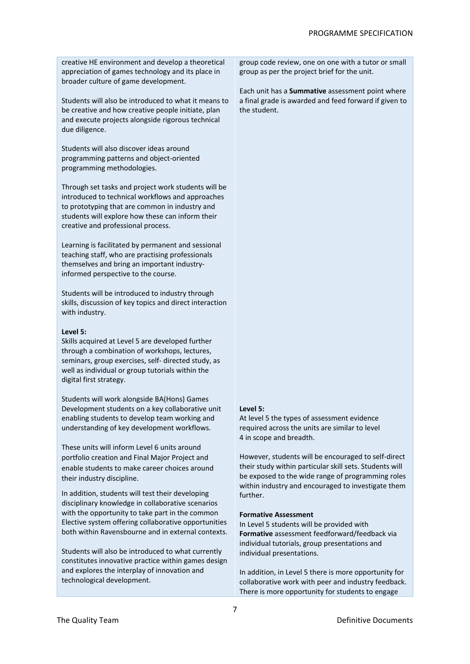creative HE environment and develop a theoretical appreciation of games technology and its place in broader culture of game development.

Students will also be introduced to what it means to be creative and how creative people initiate, plan and execute projects alongside rigorous technical due diligence.

Students will also discover ideas around programming patterns and object-oriented programming methodologies.

Through set tasks and project work students will be introduced to technical workflows and approaches to prototyping that are common in industry and students will explore how these can inform their creative and professional process.

Learning is facilitated by permanent and sessional teaching staff, who are practising professionals themselves and bring an important industryinformed perspective to the course.

Students will be introduced to industry through skills, discussion of key topics and direct interaction with industry.

## **Level 5:**

Skills acquired at Level 5 are developed further through a combination of workshops, lectures, seminars, group exercises, self- directed study, as well as individual or group tutorials within the digital first strategy.

Students will work alongside BA(Hons) Games Development students on a key collaborative unit enabling students to develop team working and understanding of key development workflows.

These units will inform Level 6 units around portfolio creation and Final Major Project and enable students to make career choices around their industry discipline.

In addition, students will test their developing disciplinary knowledge in collaborative scenarios with the opportunity to take part in the common Elective system offering collaborative opportunities both within Ravensbourne and in external contexts.

Students will also be introduced to what currently constitutes innovative practice within games design and explores the interplay of innovation and technological development.

group code review, one on one with a tutor or small group as per the project brief for the unit.

Each unit has a **Summative** assessment point where a final grade is awarded and feed forward if given to the student.

#### **Level 5:**

At level 5 the types of assessment evidence required across the units are similar to level 4 in scope and breadth.

However, students will be encouraged to self-direct their study within particular skill sets. Students will be exposed to the wide range of programming roles within industry and encouraged to investigate them further.

#### **Formative Assessment**

In Level 5 students will be provided with **Formative** assessment feedforward/feedback via individual tutorials, group presentations and individual presentations.

In addition, in Level 5 there is more opportunity for collaborative work with peer and industry feedback. There is more opportunity for students to engage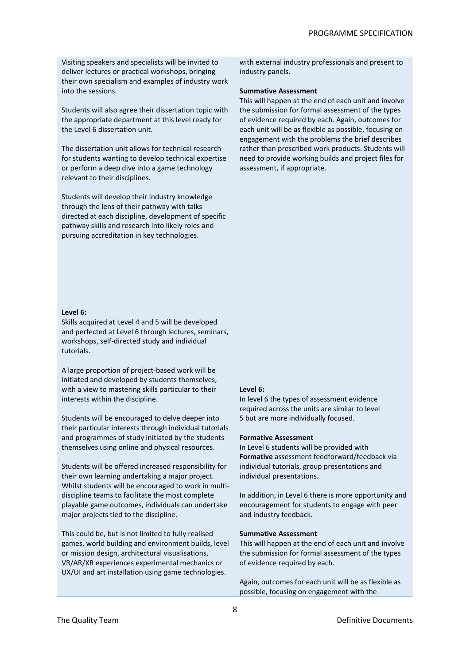Visiting speakers and specialists will be invited to deliver lectures or practical workshops, bringing their own specialism and examples of industry work into the sessions.

Students will also agree their dissertation topic with the appropriate department at this level ready for the Level 6 dissertation unit.

The dissertation unit allows for technical research for students wanting to develop technical expertise or perform a deep dive into a game technology relevant to their disciplines.

Students will develop their industry knowledge through the lens of their pathway with talks directed at each discipline, development of specific pathway skills and research into likely roles and pursuing accreditation in key technologies.

# **Level 6:**

Skills acquired at Level 4 and 5 will be developed and perfected at Level 6 through lectures, seminars, workshops, self-directed study and individual tutorials.

A large proportion of project-based work will be initiated and developed by students themselves, with a view to mastering skills particular to their interests within the discipline.

Students will be encouraged to delve deeper into their particular interests through individual tutorials and programmes of study initiated by the students themselves using online and physical resources.

Students will be offered increased responsibility for their own learning undertaking a major project. Whilst students will be encouraged to work in multidiscipline teams to facilitate the most complete playable game outcomes, individuals can undertake major projects tied to the discipline.

This could be, but is not limited to fully realised games, world building and environment builds, level or mission design, architectural visualisations, VR/AR/XR experiences experimental mechanics or UX/UI and art installation using game technologies.

with external industry professionals and present to industry panels.

# **Summative Assessment**

This will happen at the end of each unit and involve the submission for formal assessment of the types of evidence required by each. Again, outcomes for each unit will be as flexible as possible, focusing on engagement with the problems the brief describes rather than prescribed work products. Students will need to provide working builds and project files for assessment, if appropriate.

#### **Level 6:**

In level 6 the types of assessment evidence required across the units are similar to level 5 but are more individually focused.

#### **Formative Assessment**

In Level 6 students will be provided with **Formative** assessment feedforward/feedback via individual tutorials, group presentations and individual presentations.

In addition, in Level 6 there is more opportunity and encouragement for students to engage with peer and industry feedback.

#### **Summative Assessment**

This will happen at the end of each unit and involve the submission for formal assessment of the types of evidence required by each.

Again, outcomes for each unit will be as flexible as possible, focusing on engagement with the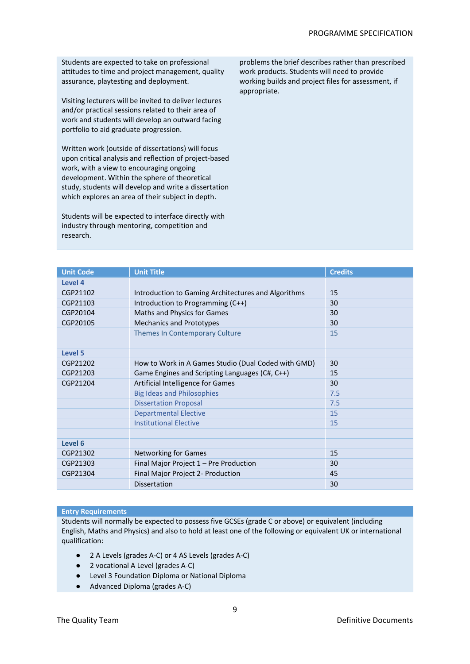Students are expected to take on professional attitudes to time and project management, quality assurance, playtesting and deployment.

Visiting lecturers will be invited to deliver lectures and/or practical sessions related to their area of work and students will develop an outward facing portfolio to aid graduate progression.

Written work (outside of dissertations) will focus upon critical analysis and reflection of project-based work, with a view to encouraging ongoing development. Within the sphere of theoretical study, students will develop and write a dissertation which explores an area of their subject in depth.

Students will be expected to interface directly with industry through mentoring, competition and research.

problems the brief describes rather than prescribed work products. Students will need to provide working builds and project files for assessment, if appropriate.

| <b>Unit Code</b> | <b>Unit Title</b>                                   | <b>Credits</b> |
|------------------|-----------------------------------------------------|----------------|
| Level 4          |                                                     |                |
| CGP21102         | Introduction to Gaming Architectures and Algorithms | 15             |
| CGP21103         | Introduction to Programming (C++)                   | 30             |
| CGP20104         | Maths and Physics for Games                         | 30             |
| CGP20105         | <b>Mechanics and Prototypes</b>                     | 30             |
|                  | Themes In Contemporary Culture                      | 15             |
|                  |                                                     |                |
| Level 5          |                                                     |                |
| CGP21202         | How to Work in A Games Studio (Dual Coded with GMD) | 30             |
| CGP21203         | Game Engines and Scripting Languages (C#, C++)      | 15             |
| CGP21204         | Artificial Intelligence for Games                   | 30             |
|                  | <b>Big Ideas and Philosophies</b>                   | 7.5            |
|                  | <b>Dissertation Proposal</b>                        | 7.5            |
|                  | <b>Departmental Elective</b>                        |                |
|                  | <b>Institutional Elective</b>                       |                |
|                  |                                                     |                |
| Level 6          |                                                     |                |
| CGP21302         | <b>Networking for Games</b>                         | 15             |
| CGP21303         | Final Major Project 1 - Pre Production              | 30             |
| CGP21304         | Final Major Project 2- Production                   | 45             |
|                  | <b>Dissertation</b>                                 | 30             |

# **Entry Requirements**

Students will normally be expected to possess five GCSEs (grade C or above) or equivalent (including English, Maths and Physics) and also to hold at least one of the following or equivalent UK or international qualification:

- 2 A Levels (grades A-C) or 4 AS Levels (grades A-C)
- 2 vocational A Level (grades A-C)
- Level 3 Foundation Diploma or National Diploma
- Advanced Diploma (grades A-C)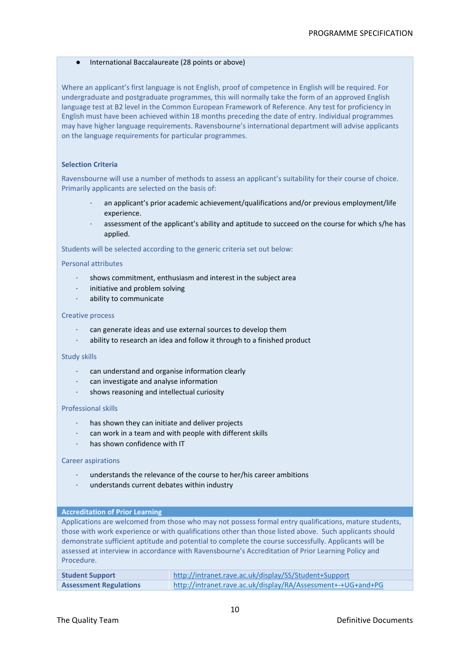# ● International Baccalaureate (28 points or above)

Where an applicant's first language is not English, proof of competence in English will be required. For undergraduate and postgraduate programmes, this will normally take the form of an approved English language test at B2 level in the Common European Framework of Reference. Any test for proficiency in English must have been achieved within 18 months preceding the date of entry. Individual programmes may have higher language requirements. Ravensbourne's international department will advise applicants on the language requirements for particular programmes.

# **Selection Criteria**

Ravensbourne will use a number of methods to assess an applicant's suitability for their course of choice. Primarily applicants are selected on the basis of:

- an applicant's prior academic achievement/qualifications and/or previous employment/life experience.
- assessment of the applicant's ability and aptitude to succeed on the course for which s/he has applied.

Students will be selected according to the generic criteria set out below:

# Personal attributes

- shows commitment, enthusiasm and interest in the subject area
- ⋅ initiative and problem solving
- ⋅ ability to communicate

## Creative process

- can generate ideas and use external sources to develop them
- ⋅ ability to research an idea and follow it through to a finished product

#### Study skills

- can understand and organise information clearly
- can investigate and analyse information
- shows reasoning and intellectual curiosity

# Professional skills

- has shown they can initiate and deliver projects
- can work in a team and with people with different skills
- has shown confidence with IT

# Career aspirations

- understands the relevance of the course to her/his career ambitions
- understands current debates within industry

#### **Accreditation of Prior Learning**

Applications are welcomed from those who may not possess formal entry qualifications, mature students, those with work experience or with qualifications other than those listed above. Such applicants should demonstrate sufficient aptitude and potential to complete the course successfully. Applicants will be assessed at interview in accordance with Ravensbourne's Accreditation of Prior Learning Policy and Procedure.

| <b>Student Support</b>        | http://intranet.rave.ac.uk/display/SS/Student+Support        |
|-------------------------------|--------------------------------------------------------------|
| <b>Assessment Regulations</b> | http://intranet.rave.ac.uk/display/RA/Assessment+-+UG+and+PG |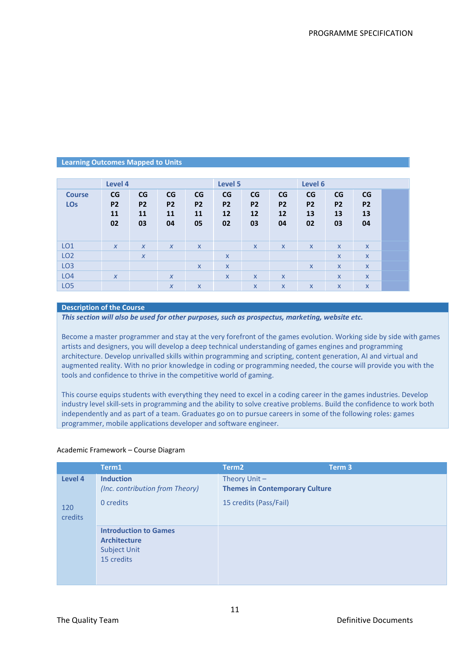# **Learning Outcomes Mapped to Units**

|                             | Level 4                     |                             |                             |                             | Level 5                     |                             |                             | Level 6                     |                             |                             |  |
|-----------------------------|-----------------------------|-----------------------------|-----------------------------|-----------------------------|-----------------------------|-----------------------------|-----------------------------|-----------------------------|-----------------------------|-----------------------------|--|
| <b>Course</b><br><b>LOs</b> | CG<br><b>P2</b><br>11<br>02 | CG<br><b>P2</b><br>11<br>03 | CG<br><b>P2</b><br>11<br>04 | CG<br><b>P2</b><br>11<br>05 | CG<br><b>P2</b><br>12<br>02 | CG<br><b>P2</b><br>12<br>03 | CG<br><b>P2</b><br>12<br>04 | CG<br><b>P2</b><br>13<br>02 | CG<br><b>P2</b><br>13<br>03 | CG<br><b>P2</b><br>13<br>04 |  |
| LO <sub>1</sub>             | $\boldsymbol{X}$            | $\boldsymbol{X}$            | $\boldsymbol{X}$            | $\mathsf{x}$                |                             | $\mathsf{x}$                | $\mathsf{x}$                | $\mathsf{X}$                | $\mathsf{X}$                | $\boldsymbol{X}$            |  |
| LO <sub>2</sub>             |                             | $\boldsymbol{X}$            |                             |                             | $\boldsymbol{\mathsf{X}}$   |                             |                             |                             | $\mathsf{x}$                | $\boldsymbol{X}$            |  |
| LO <sub>3</sub>             |                             |                             |                             | $\mathsf{X}$                | $\boldsymbol{\mathsf{X}}$   |                             |                             | $\mathsf{x}$                | $\mathsf{x}$                | $\boldsymbol{X}$            |  |
| LO <sub>4</sub>             | $\boldsymbol{X}$            |                             | $\boldsymbol{X}$            |                             | $\boldsymbol{\mathsf{x}}$   | $\mathsf{x}$                | $\mathsf{x}$                |                             | $\mathsf{x}$                | $\boldsymbol{\mathsf{x}}$   |  |
| LO <sub>5</sub>             |                             |                             | $\boldsymbol{x}$            | X                           |                             | $\mathsf{x}$                | $\mathsf{X}$                | X                           | $\mathsf{x}$                | $\mathsf{x}$                |  |

# **Description of the Course**

*This section will also be used for other purposes, such as prospectus, marketing, website etc.*

Become a master programmer and stay at the very forefront of the games evolution. Working side by side with games artists and designers, you will develop a deep technical understanding of games engines and programming architecture. Develop unrivalled skills within programming and scripting, content generation, AI and virtual and augmented reality. With no prior knowledge in coding or programming needed, the course will provide you with the tools and confidence to thrive in the competitive world of gaming.

This course equips students with everything they need to excel in a coding career in the games industries. Develop industry level skill-sets in programming and the ability to solve creative problems. Build the confidence to work both independently and as part of a team. Graduates go on to pursue careers in some of the following roles: games programmer, mobile applications developer and software engineer.

#### Academic Framework – Course Diagram

|                       | Term1                                                                                    | Term <sub>2</sub>                                        | Term <sub>3</sub> |
|-----------------------|------------------------------------------------------------------------------------------|----------------------------------------------------------|-------------------|
| Level 4               | <b>Induction</b><br>(Inc. contribution from Theory)                                      | Theory Unit $-$<br><b>Themes in Contemporary Culture</b> |                   |
| 120<br><b>credits</b> | 0 credits                                                                                | 15 credits (Pass/Fail)                                   |                   |
|                       | <b>Introduction to Games</b><br><b>Architecture</b><br><b>Subject Unit</b><br>15 credits |                                                          |                   |